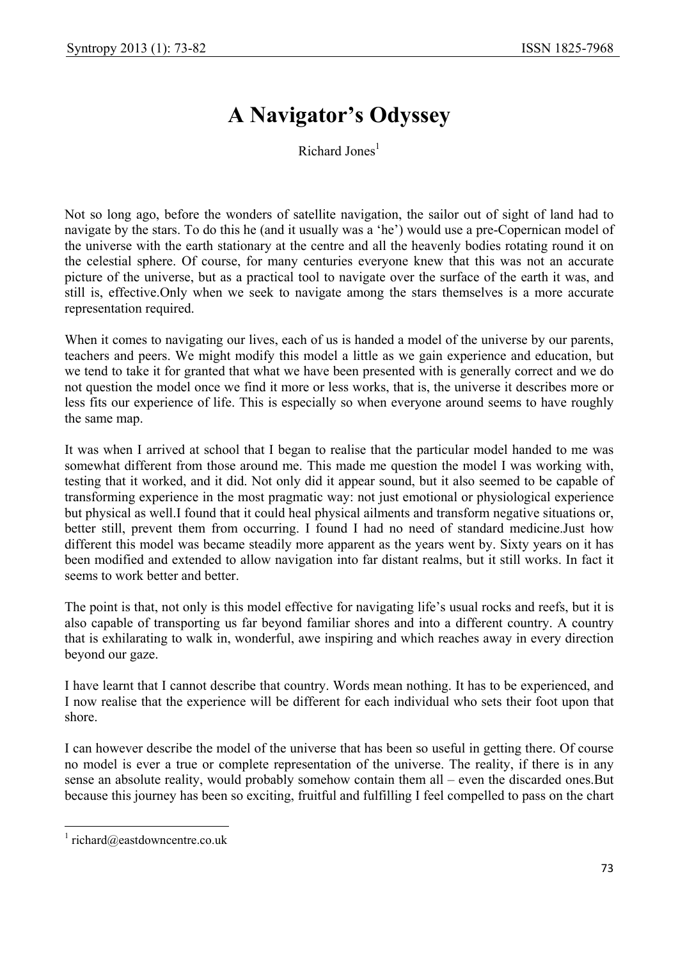## **A Navigator's Odyssey**

Richard Jones<sup>1</sup>

Not so long ago, before the wonders of satellite navigation, the sailor out of sight of land had to navigate by the stars. To do this he (and it usually was a 'he') would use a pre-Copernican model of the universe with the earth stationary at the centre and all the heavenly bodies rotating round it on the celestial sphere. Of course, for many centuries everyone knew that this was not an accurate picture of the universe, but as a practical tool to navigate over the surface of the earth it was, and still is, effective.Only when we seek to navigate among the stars themselves is a more accurate representation required.

When it comes to navigating our lives, each of us is handed a model of the universe by our parents, teachers and peers. We might modify this model a little as we gain experience and education, but we tend to take it for granted that what we have been presented with is generally correct and we do not question the model once we find it more or less works, that is, the universe it describes more or less fits our experience of life. This is especially so when everyone around seems to have roughly the same map.

It was when I arrived at school that I began to realise that the particular model handed to me was somewhat different from those around me. This made me question the model I was working with, testing that it worked, and it did. Not only did it appear sound, but it also seemed to be capable of transforming experience in the most pragmatic way: not just emotional or physiological experience but physical as well.I found that it could heal physical ailments and transform negative situations or, better still, prevent them from occurring. I found I had no need of standard medicine.Just how different this model was became steadily more apparent as the years went by. Sixty years on it has been modified and extended to allow navigation into far distant realms, but it still works. In fact it seems to work better and better.

The point is that, not only is this model effective for navigating life's usual rocks and reefs, but it is also capable of transporting us far beyond familiar shores and into a different country. A country that is exhilarating to walk in, wonderful, awe inspiring and which reaches away in every direction beyond our gaze.

I have learnt that I cannot describe that country. Words mean nothing. It has to be experienced, and I now realise that the experience will be different for each individual who sets their foot upon that shore.

I can however describe the model of the universe that has been so useful in getting there. Of course no model is ever a true or complete representation of the universe. The reality, if there is in any sense an absolute reality, would probably somehow contain them all – even the discarded ones.But because this journey has been so exciting, fruitful and fulfilling I feel compelled to pass on the chart

 $\overline{\phantom{a}}$ 

<sup>1</sup> richard@eastdowncentre.co.uk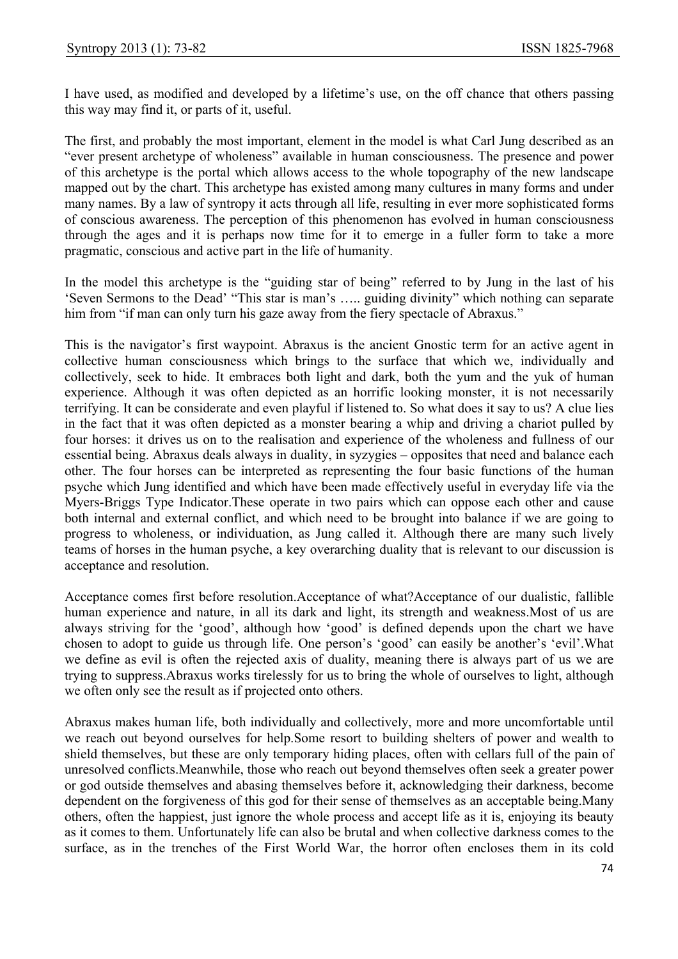I have used, as modified and developed by a lifetime's use, on the off chance that others passing this way may find it, or parts of it, useful.

The first, and probably the most important, element in the model is what Carl Jung described as an "ever present archetype of wholeness" available in human consciousness. The presence and power of this archetype is the portal which allows access to the whole topography of the new landscape mapped out by the chart. This archetype has existed among many cultures in many forms and under many names. By a law of syntropy it acts through all life, resulting in ever more sophisticated forms of conscious awareness. The perception of this phenomenon has evolved in human consciousness through the ages and it is perhaps now time for it to emerge in a fuller form to take a more pragmatic, conscious and active part in the life of humanity.

In the model this archetype is the "guiding star of being" referred to by Jung in the last of his 'Seven Sermons to the Dead' "This star is man's ….. guiding divinity" which nothing can separate him from "if man can only turn his gaze away from the fiery spectacle of Abraxus."

This is the navigator's first waypoint. Abraxus is the ancient Gnostic term for an active agent in collective human consciousness which brings to the surface that which we, individually and collectively, seek to hide. It embraces both light and dark, both the yum and the yuk of human experience. Although it was often depicted as an horrific looking monster, it is not necessarily terrifying. It can be considerate and even playful if listened to. So what does it say to us? A clue lies in the fact that it was often depicted as a monster bearing a whip and driving a chariot pulled by four horses: it drives us on to the realisation and experience of the wholeness and fullness of our essential being. Abraxus deals always in duality, in syzygies – opposites that need and balance each other. The four horses can be interpreted as representing the four basic functions of the human psyche which Jung identified and which have been made effectively useful in everyday life via the Myers-Briggs Type Indicator.These operate in two pairs which can oppose each other and cause both internal and external conflict, and which need to be brought into balance if we are going to progress to wholeness, or individuation, as Jung called it. Although there are many such lively teams of horses in the human psyche, a key overarching duality that is relevant to our discussion is acceptance and resolution.

Acceptance comes first before resolution.Acceptance of what?Acceptance of our dualistic, fallible human experience and nature, in all its dark and light, its strength and weakness.Most of us are always striving for the 'good', although how 'good' is defined depends upon the chart we have chosen to adopt to guide us through life. One person's 'good' can easily be another's 'evil'.What we define as evil is often the rejected axis of duality, meaning there is always part of us we are trying to suppress.Abraxus works tirelessly for us to bring the whole of ourselves to light, although we often only see the result as if projected onto others.

Abraxus makes human life, both individually and collectively, more and more uncomfortable until we reach out beyond ourselves for help.Some resort to building shelters of power and wealth to shield themselves, but these are only temporary hiding places, often with cellars full of the pain of unresolved conflicts.Meanwhile, those who reach out beyond themselves often seek a greater power or god outside themselves and abasing themselves before it, acknowledging their darkness, become dependent on the forgiveness of this god for their sense of themselves as an acceptable being.Many others, often the happiest, just ignore the whole process and accept life as it is, enjoying its beauty as it comes to them. Unfortunately life can also be brutal and when collective darkness comes to the surface, as in the trenches of the First World War, the horror often encloses them in its cold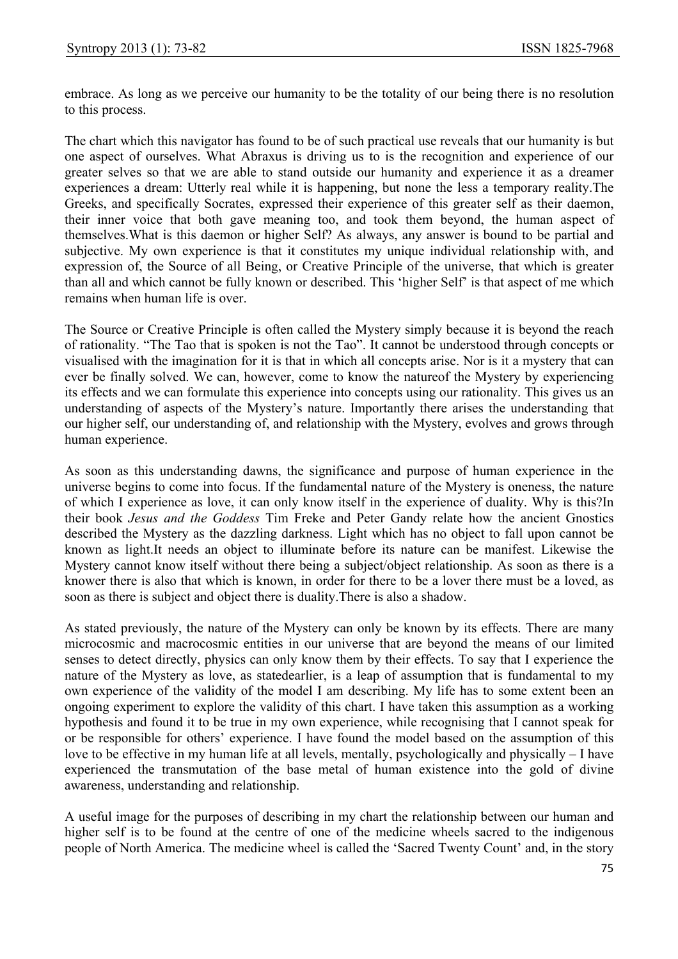embrace. As long as we perceive our humanity to be the totality of our being there is no resolution to this process.

The chart which this navigator has found to be of such practical use reveals that our humanity is but one aspect of ourselves. What Abraxus is driving us to is the recognition and experience of our greater selves so that we are able to stand outside our humanity and experience it as a dreamer experiences a dream: Utterly real while it is happening, but none the less a temporary reality.The Greeks, and specifically Socrates, expressed their experience of this greater self as their daemon, their inner voice that both gave meaning too, and took them beyond, the human aspect of themselves.What is this daemon or higher Self? As always, any answer is bound to be partial and subjective. My own experience is that it constitutes my unique individual relationship with, and expression of, the Source of all Being, or Creative Principle of the universe, that which is greater than all and which cannot be fully known or described. This 'higher Self' is that aspect of me which remains when human life is over.

The Source or Creative Principle is often called the Mystery simply because it is beyond the reach of rationality. "The Tao that is spoken is not the Tao". It cannot be understood through concepts or visualised with the imagination for it is that in which all concepts arise. Nor is it a mystery that can ever be finally solved. We can, however, come to know the natureof the Mystery by experiencing its effects and we can formulate this experience into concepts using our rationality. This gives us an understanding of aspects of the Mystery's nature. Importantly there arises the understanding that our higher self, our understanding of, and relationship with the Mystery, evolves and grows through human experience.

As soon as this understanding dawns, the significance and purpose of human experience in the universe begins to come into focus. If the fundamental nature of the Mystery is oneness, the nature of which I experience as love, it can only know itself in the experience of duality. Why is this?In their book *Jesus and the Goddess* Tim Freke and Peter Gandy relate how the ancient Gnostics described the Mystery as the dazzling darkness. Light which has no object to fall upon cannot be known as light.It needs an object to illuminate before its nature can be manifest. Likewise the Mystery cannot know itself without there being a subject/object relationship. As soon as there is a knower there is also that which is known, in order for there to be a lover there must be a loved, as soon as there is subject and object there is duality.There is also a shadow.

As stated previously, the nature of the Mystery can only be known by its effects. There are many microcosmic and macrocosmic entities in our universe that are beyond the means of our limited senses to detect directly, physics can only know them by their effects. To say that I experience the nature of the Mystery as love, as statedearlier, is a leap of assumption that is fundamental to my own experience of the validity of the model I am describing. My life has to some extent been an ongoing experiment to explore the validity of this chart. I have taken this assumption as a working hypothesis and found it to be true in my own experience, while recognising that I cannot speak for or be responsible for others' experience. I have found the model based on the assumption of this love to be effective in my human life at all levels, mentally, psychologically and physically – I have experienced the transmutation of the base metal of human existence into the gold of divine awareness, understanding and relationship.

A useful image for the purposes of describing in my chart the relationship between our human and higher self is to be found at the centre of one of the medicine wheels sacred to the indigenous people of North America. The medicine wheel is called the 'Sacred Twenty Count' and, in the story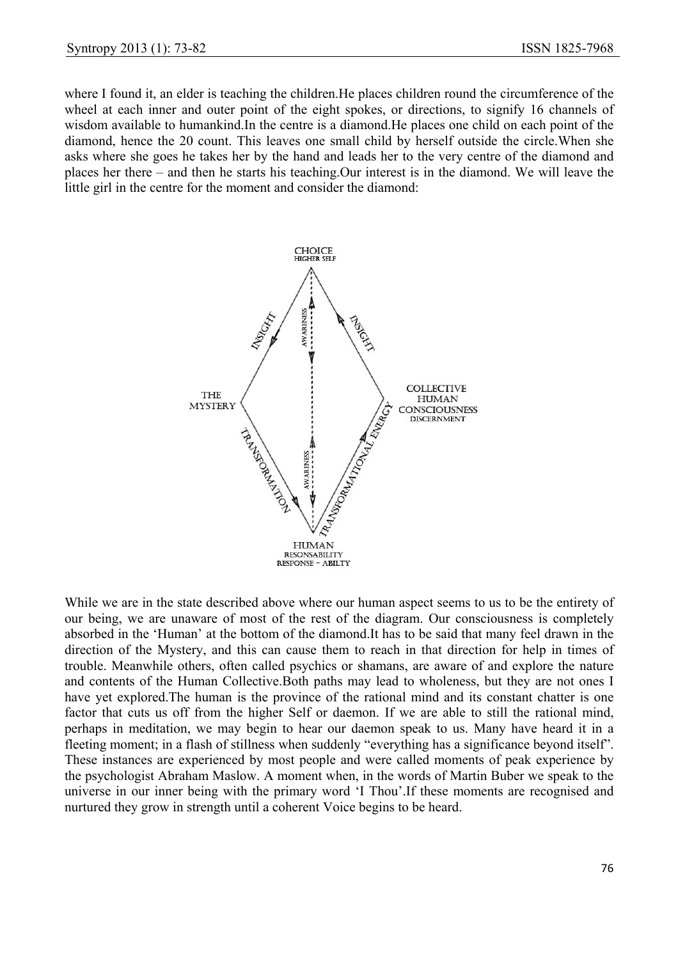where I found it, an elder is teaching the children.He places children round the circumference of the wheel at each inner and outer point of the eight spokes, or directions, to signify 16 channels of wisdom available to humankind.In the centre is a diamond.He places one child on each point of the diamond, hence the 20 count. This leaves one small child by herself outside the circle.When she asks where she goes he takes her by the hand and leads her to the very centre of the diamond and places her there – and then he starts his teaching.Our interest is in the diamond. We will leave the little girl in the centre for the moment and consider the diamond:



While we are in the state described above where our human aspect seems to us to be the entirety of our being, we are unaware of most of the rest of the diagram. Our consciousness is completely absorbed in the 'Human' at the bottom of the diamond.It has to be said that many feel drawn in the direction of the Mystery, and this can cause them to reach in that direction for help in times of trouble. Meanwhile others, often called psychics or shamans, are aware of and explore the nature and contents of the Human Collective.Both paths may lead to wholeness, but they are not ones I have yet explored.The human is the province of the rational mind and its constant chatter is one factor that cuts us off from the higher Self or daemon. If we are able to still the rational mind, perhaps in meditation, we may begin to hear our daemon speak to us. Many have heard it in a fleeting moment; in a flash of stillness when suddenly "everything has a significance beyond itself". These instances are experienced by most people and were called moments of peak experience by the psychologist Abraham Maslow. A moment when, in the words of Martin Buber we speak to the universe in our inner being with the primary word 'I Thou'.If these moments are recognised and nurtured they grow in strength until a coherent Voice begins to be heard.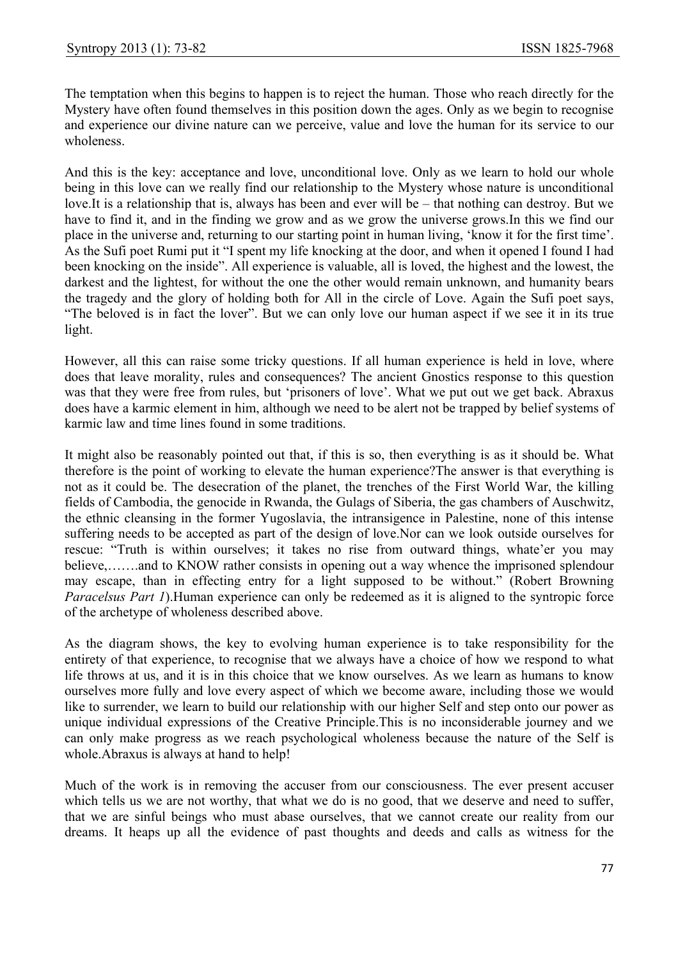The temptation when this begins to happen is to reject the human. Those who reach directly for the Mystery have often found themselves in this position down the ages. Only as we begin to recognise and experience our divine nature can we perceive, value and love the human for its service to our wholeness.

And this is the key: acceptance and love, unconditional love. Only as we learn to hold our whole being in this love can we really find our relationship to the Mystery whose nature is unconditional love.It is a relationship that is, always has been and ever will be – that nothing can destroy. But we have to find it, and in the finding we grow and as we grow the universe grows.In this we find our place in the universe and, returning to our starting point in human living, 'know it for the first time'. As the Sufi poet Rumi put it "I spent my life knocking at the door, and when it opened I found I had been knocking on the inside". All experience is valuable, all is loved, the highest and the lowest, the darkest and the lightest, for without the one the other would remain unknown, and humanity bears the tragedy and the glory of holding both for All in the circle of Love. Again the Sufi poet says, "The beloved is in fact the lover". But we can only love our human aspect if we see it in its true light.

However, all this can raise some tricky questions. If all human experience is held in love, where does that leave morality, rules and consequences? The ancient Gnostics response to this question was that they were free from rules, but 'prisoners of love'. What we put out we get back. Abraxus does have a karmic element in him, although we need to be alert not be trapped by belief systems of karmic law and time lines found in some traditions.

It might also be reasonably pointed out that, if this is so, then everything is as it should be. What therefore is the point of working to elevate the human experience?The answer is that everything is not as it could be. The desecration of the planet, the trenches of the First World War, the killing fields of Cambodia, the genocide in Rwanda, the Gulags of Siberia, the gas chambers of Auschwitz, the ethnic cleansing in the former Yugoslavia, the intransigence in Palestine, none of this intense suffering needs to be accepted as part of the design of love.Nor can we look outside ourselves for rescue: "Truth is within ourselves; it takes no rise from outward things, whate'er you may believe,…….and to KNOW rather consists in opening out a way whence the imprisoned splendour may escape, than in effecting entry for a light supposed to be without." (Robert Browning *Paracelsus Part 1*).Human experience can only be redeemed as it is aligned to the syntropic force of the archetype of wholeness described above.

As the diagram shows, the key to evolving human experience is to take responsibility for the entirety of that experience, to recognise that we always have a choice of how we respond to what life throws at us, and it is in this choice that we know ourselves. As we learn as humans to know ourselves more fully and love every aspect of which we become aware, including those we would like to surrender, we learn to build our relationship with our higher Self and step onto our power as unique individual expressions of the Creative Principle.This is no inconsiderable journey and we can only make progress as we reach psychological wholeness because the nature of the Self is whole.Abraxus is always at hand to help!

Much of the work is in removing the accuser from our consciousness. The ever present accuser which tells us we are not worthy, that what we do is no good, that we deserve and need to suffer, that we are sinful beings who must abase ourselves, that we cannot create our reality from our dreams. It heaps up all the evidence of past thoughts and deeds and calls as witness for the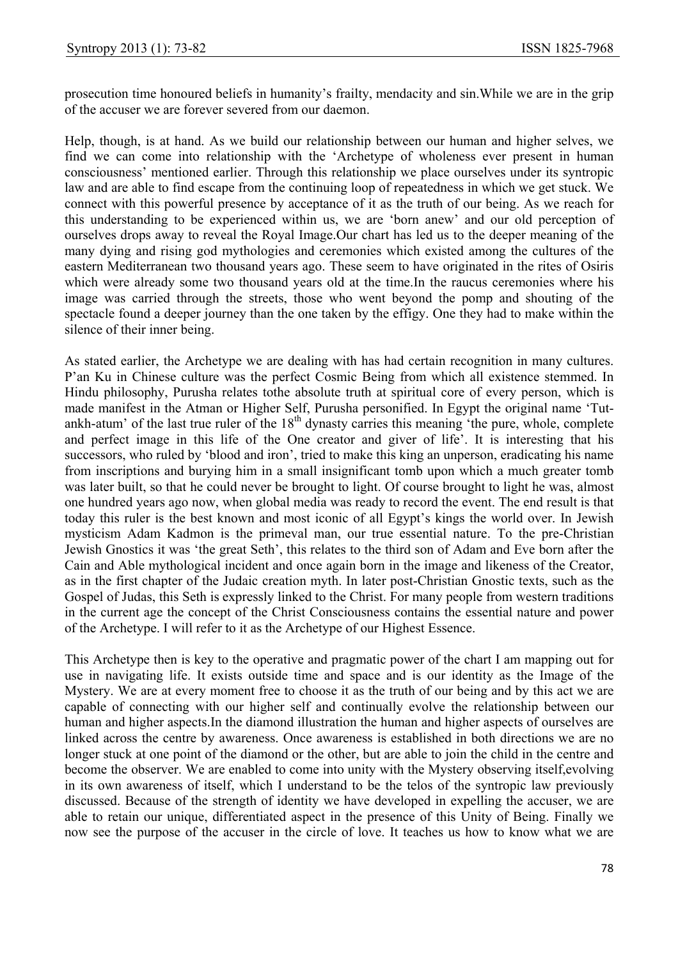prosecution time honoured beliefs in humanity's frailty, mendacity and sin.While we are in the grip of the accuser we are forever severed from our daemon.

Help, though, is at hand. As we build our relationship between our human and higher selves, we find we can come into relationship with the 'Archetype of wholeness ever present in human consciousness' mentioned earlier. Through this relationship we place ourselves under its syntropic law and are able to find escape from the continuing loop of repeatedness in which we get stuck. We connect with this powerful presence by acceptance of it as the truth of our being. As we reach for this understanding to be experienced within us, we are 'born anew' and our old perception of ourselves drops away to reveal the Royal Image.Our chart has led us to the deeper meaning of the many dying and rising god mythologies and ceremonies which existed among the cultures of the eastern Mediterranean two thousand years ago. These seem to have originated in the rites of Osiris which were already some two thousand years old at the time.In the raucus ceremonies where his image was carried through the streets, those who went beyond the pomp and shouting of the spectacle found a deeper journey than the one taken by the effigy. One they had to make within the silence of their inner being.

As stated earlier, the Archetype we are dealing with has had certain recognition in many cultures. P'an Ku in Chinese culture was the perfect Cosmic Being from which all existence stemmed. In Hindu philosophy, Purusha relates tothe absolute truth at spiritual core of every person, which is made manifest in the Atman or Higher Self, Purusha personified. In Egypt the original name 'Tutankh-atum' of the last true ruler of the  $18<sup>th</sup>$  dynasty carries this meaning 'the pure, whole, complete and perfect image in this life of the One creator and giver of life'. It is interesting that his successors, who ruled by 'blood and iron', tried to make this king an unperson, eradicating his name from inscriptions and burying him in a small insignificant tomb upon which a much greater tomb was later built, so that he could never be brought to light. Of course brought to light he was, almost one hundred years ago now, when global media was ready to record the event. The end result is that today this ruler is the best known and most iconic of all Egypt's kings the world over. In Jewish mysticism Adam Kadmon is the primeval man, our true essential nature. To the pre-Christian Jewish Gnostics it was 'the great Seth', this relates to the third son of Adam and Eve born after the Cain and Able mythological incident and once again born in the image and likeness of the Creator, as in the first chapter of the Judaic creation myth. In later post-Christian Gnostic texts, such as the Gospel of Judas, this Seth is expressly linked to the Christ. For many people from western traditions in the current age the concept of the Christ Consciousness contains the essential nature and power of the Archetype. I will refer to it as the Archetype of our Highest Essence.

This Archetype then is key to the operative and pragmatic power of the chart I am mapping out for use in navigating life. It exists outside time and space and is our identity as the Image of the Mystery. We are at every moment free to choose it as the truth of our being and by this act we are capable of connecting with our higher self and continually evolve the relationship between our human and higher aspects.In the diamond illustration the human and higher aspects of ourselves are linked across the centre by awareness. Once awareness is established in both directions we are no longer stuck at one point of the diamond or the other, but are able to join the child in the centre and become the observer. We are enabled to come into unity with the Mystery observing itself,evolving in its own awareness of itself, which I understand to be the telos of the syntropic law previously discussed. Because of the strength of identity we have developed in expelling the accuser, we are able to retain our unique, differentiated aspect in the presence of this Unity of Being. Finally we now see the purpose of the accuser in the circle of love. It teaches us how to know what we are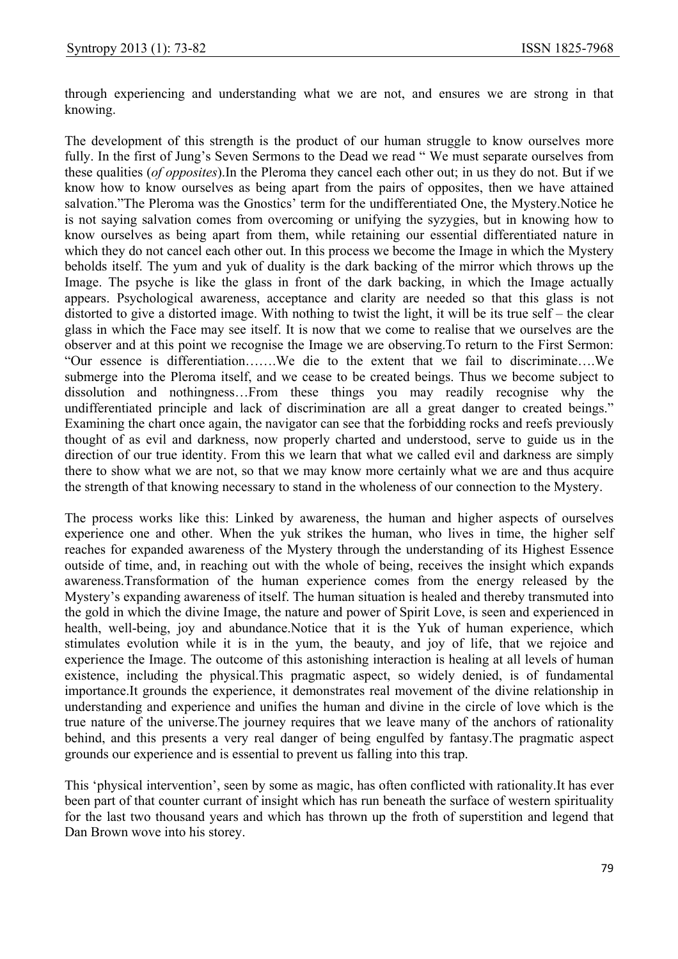through experiencing and understanding what we are not, and ensures we are strong in that knowing.

The development of this strength is the product of our human struggle to know ourselves more fully. In the first of Jung's Seven Sermons to the Dead we read " We must separate ourselves from these qualities (*of opposites*).In the Pleroma they cancel each other out; in us they do not. But if we know how to know ourselves as being apart from the pairs of opposites, then we have attained salvation."The Pleroma was the Gnostics' term for the undifferentiated One, the Mystery.Notice he is not saying salvation comes from overcoming or unifying the syzygies, but in knowing how to know ourselves as being apart from them, while retaining our essential differentiated nature in which they do not cancel each other out. In this process we become the Image in which the Mystery beholds itself. The yum and yuk of duality is the dark backing of the mirror which throws up the Image. The psyche is like the glass in front of the dark backing, in which the Image actually appears. Psychological awareness, acceptance and clarity are needed so that this glass is not distorted to give a distorted image. With nothing to twist the light, it will be its true self – the clear glass in which the Face may see itself. It is now that we come to realise that we ourselves are the observer and at this point we recognise the Image we are observing.To return to the First Sermon: "Our essence is differentiation…….We die to the extent that we fail to discriminate….We submerge into the Pleroma itself, and we cease to be created beings. Thus we become subject to dissolution and nothingness…From these things you may readily recognise why the undifferentiated principle and lack of discrimination are all a great danger to created beings." Examining the chart once again, the navigator can see that the forbidding rocks and reefs previously thought of as evil and darkness, now properly charted and understood, serve to guide us in the direction of our true identity. From this we learn that what we called evil and darkness are simply there to show what we are not, so that we may know more certainly what we are and thus acquire the strength of that knowing necessary to stand in the wholeness of our connection to the Mystery.

The process works like this: Linked by awareness, the human and higher aspects of ourselves experience one and other. When the yuk strikes the human, who lives in time, the higher self reaches for expanded awareness of the Mystery through the understanding of its Highest Essence outside of time, and, in reaching out with the whole of being, receives the insight which expands awareness.Transformation of the human experience comes from the energy released by the Mystery's expanding awareness of itself. The human situation is healed and thereby transmuted into the gold in which the divine Image, the nature and power of Spirit Love, is seen and experienced in health, well-being, joy and abundance.Notice that it is the Yuk of human experience, which stimulates evolution while it is in the yum, the beauty, and joy of life, that we rejoice and experience the Image. The outcome of this astonishing interaction is healing at all levels of human existence, including the physical.This pragmatic aspect, so widely denied, is of fundamental importance.It grounds the experience, it demonstrates real movement of the divine relationship in understanding and experience and unifies the human and divine in the circle of love which is the true nature of the universe.The journey requires that we leave many of the anchors of rationality behind, and this presents a very real danger of being engulfed by fantasy.The pragmatic aspect grounds our experience and is essential to prevent us falling into this trap.

This 'physical intervention', seen by some as magic, has often conflicted with rationality.It has ever been part of that counter currant of insight which has run beneath the surface of western spirituality for the last two thousand years and which has thrown up the froth of superstition and legend that Dan Brown wove into his storey.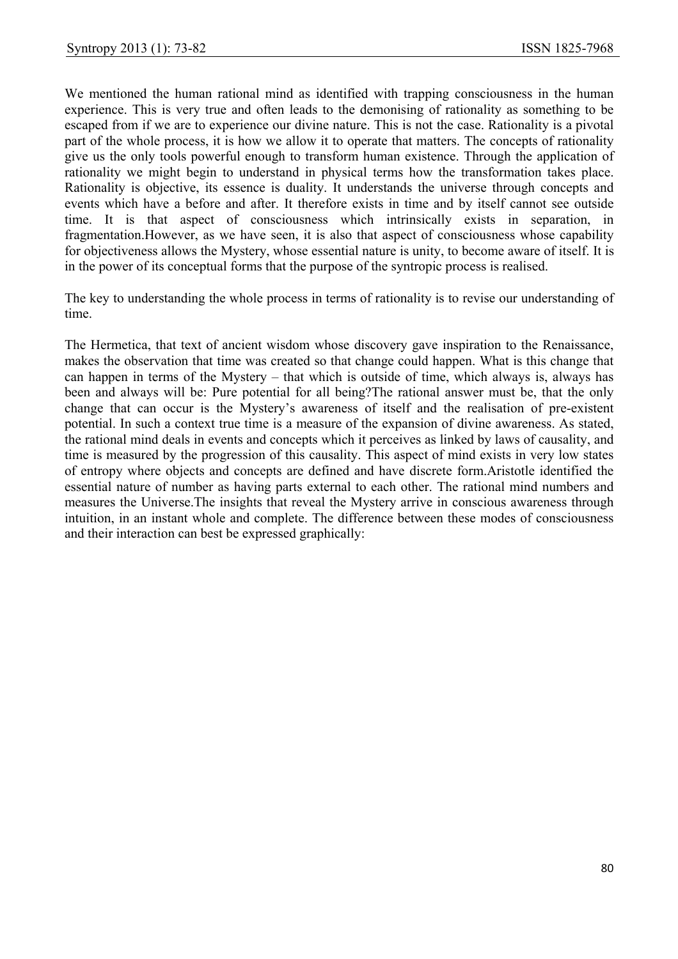We mentioned the human rational mind as identified with trapping consciousness in the human experience. This is very true and often leads to the demonising of rationality as something to be escaped from if we are to experience our divine nature. This is not the case. Rationality is a pivotal part of the whole process, it is how we allow it to operate that matters. The concepts of rationality give us the only tools powerful enough to transform human existence. Through the application of rationality we might begin to understand in physical terms how the transformation takes place. Rationality is objective, its essence is duality. It understands the universe through concepts and events which have a before and after. It therefore exists in time and by itself cannot see outside time. It is that aspect of consciousness which intrinsically exists in separation, in fragmentation.However, as we have seen, it is also that aspect of consciousness whose capability for objectiveness allows the Mystery, whose essential nature is unity, to become aware of itself. It is in the power of its conceptual forms that the purpose of the syntropic process is realised.

The key to understanding the whole process in terms of rationality is to revise our understanding of time.

The Hermetica, that text of ancient wisdom whose discovery gave inspiration to the Renaissance, makes the observation that time was created so that change could happen. What is this change that can happen in terms of the Mystery – that which is outside of time, which always is, always has been and always will be: Pure potential for all being?The rational answer must be, that the only change that can occur is the Mystery's awareness of itself and the realisation of pre-existent potential. In such a context true time is a measure of the expansion of divine awareness. As stated, the rational mind deals in events and concepts which it perceives as linked by laws of causality, and time is measured by the progression of this causality. This aspect of mind exists in very low states of entropy where objects and concepts are defined and have discrete form.Aristotle identified the essential nature of number as having parts external to each other. The rational mind numbers and measures the Universe.The insights that reveal the Mystery arrive in conscious awareness through intuition, in an instant whole and complete. The difference between these modes of consciousness and their interaction can best be expressed graphically: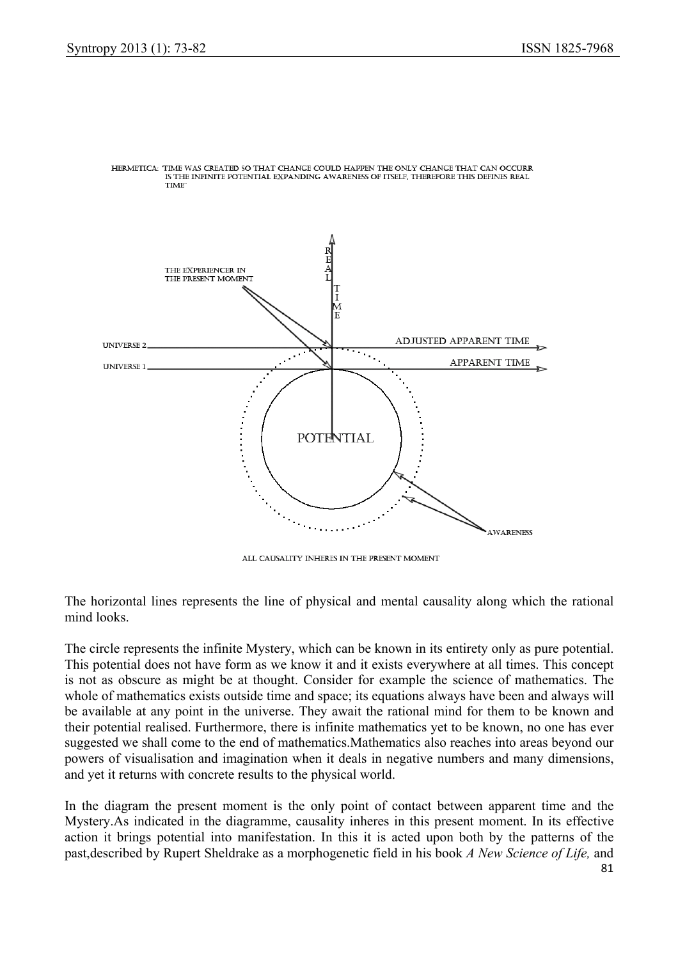

HERMETICA: 'TIME WAS CREATED SO THAT CHANGE COULD HAPPEN THE ONLY CHANGE THAT CAN OCCURR IS THE INFINITE POTENTIAL EXPANDING AWARENESS OF ITSELF. THEREFORE THIS DEFINES REAL **TIME** 

ALL CAUSALITY INHERES IN THE PRESENT MOMENT

The horizontal lines represents the line of physical and mental causality along which the rational mind looks.

The circle represents the infinite Mystery, which can be known in its entirety only as pure potential. This potential does not have form as we know it and it exists everywhere at all times. This concept is not as obscure as might be at thought. Consider for example the science of mathematics. The whole of mathematics exists outside time and space; its equations always have been and always will be available at any point in the universe. They await the rational mind for them to be known and their potential realised. Furthermore, there is infinite mathematics yet to be known, no one has ever suggested we shall come to the end of mathematics.Mathematics also reaches into areas beyond our powers of visualisation and imagination when it deals in negative numbers and many dimensions, and yet it returns with concrete results to the physical world.

In the diagram the present moment is the only point of contact between apparent time and the Mystery.As indicated in the diagramme, causality inheres in this present moment. In its effective action it brings potential into manifestation. In this it is acted upon both by the patterns of the past,described by Rupert Sheldrake as a morphogenetic field in his book *A New Science of Life,* and